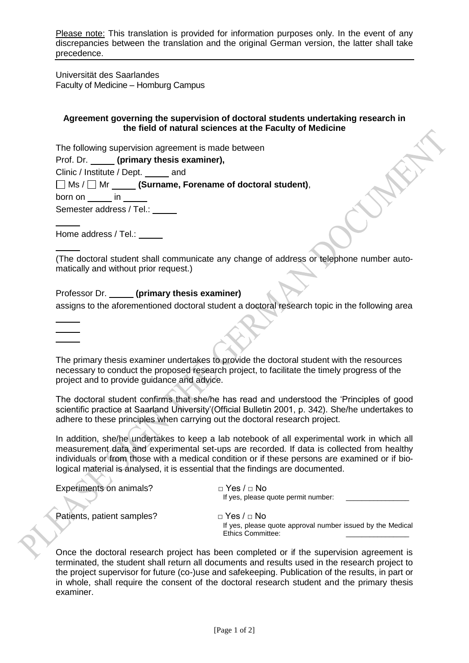Please note: This translation is provided for information purposes only. In the event of any discrepancies between the translation and the original German version, the latter shall take precedence.

Universität des Saarlandes Faculty of Medicine – Homburg Campus

## **Agreement governing the supervision of doctoral students undertaking research in the field of natural sciences at the Faculty of Medicine**

The following supervision agreement is made between

Prof. Dr. **(primary thesis examiner),**

Clinic / Institute / Dept. \_\_\_\_\_ and

Ms / Mr **(Surname, Forename of doctoral student)**,

 $born on$  in  $\qquad$ 

Semester address / Tel.: \_\_\_\_\_

Home address / Tel.:

 $\Delta^2$ 

 $\Delta$ 

(The doctoral student shall communicate any change of address or telephone number automatically and without prior request.)

Professor Dr. **(primary thesis examiner)** assigns to the aforementioned doctoral student a doctoral research topic in the following area

The primary thesis examiner undertakes to provide the doctoral student with the resources necessary to conduct the proposed research project, to facilitate the timely progress of the project and to provide guidance and advice.

The doctoral student confirms that she/he has read and understood the 'Principles of good scientific practice at Saarland University'(Official Bulletin 2001, p. 342). She/he undertakes to adhere to these principles when carrying out the doctoral research project.

In addition, she/he undertakes to keep a lab notebook of all experimental work in which all measurement data and experimental set-ups are recorded. If data is collected from healthy individuals or from those with a medical condition or if these persons are examined or if biological material is analysed, it is essential that the findings are documented.

| Experiments on animals?    | $□$ Yes / $□$ No                                                                       |
|----------------------------|----------------------------------------------------------------------------------------|
|                            | If yes, please quote permit number:                                                    |
| Patients, patient samples? | $\Box$ Yes / $\Box$ No                                                                 |
|                            | If yes, please quote approval number issued by the Medical<br><b>Ethics Committee:</b> |

Once the doctoral research project has been completed or if the supervision agreement is terminated, the student shall return all documents and results used in the research project to the project supervisor for future (co-)use and safekeeping. Publication of the results, in part or in whole, shall require the consent of the doctoral research student and the primary thesis examiner.